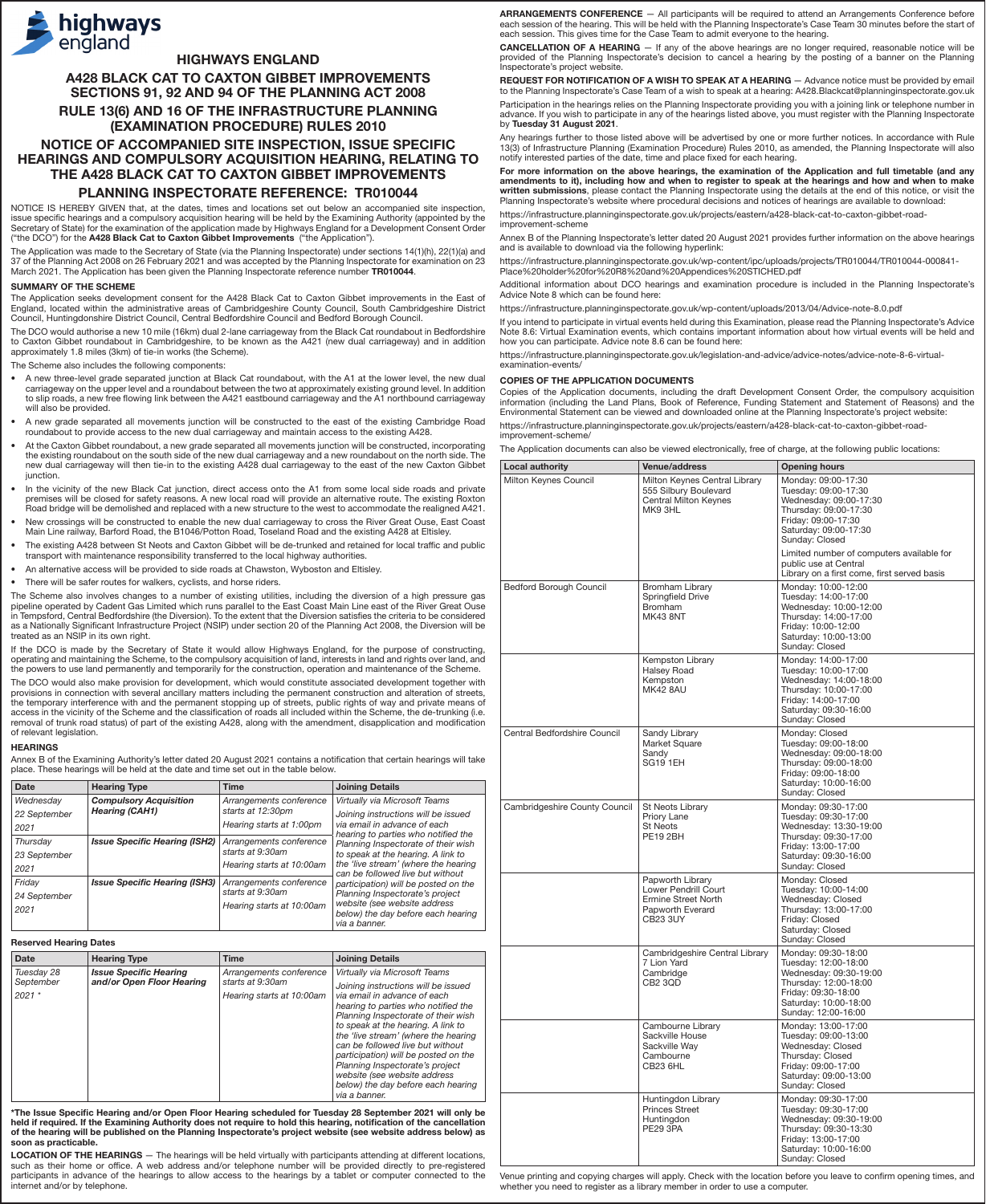

# HIGHWAYS ENGLAND

A428 BLACK CAT TO CAXTON GIBBET IMPROVEMENTS SECTIONS 91, 92 AND 94 OF THE PLANNING ACT 2008

# RULE 13(6) AND 16 OF THE INFRASTRUCTURE PLANNING (EXAMINATION PROCEDURE) RULES 2010

# NOTICE OF ACCOMPANIED SITE INSPECTION, ISSUE SPECIFIC HEARINGS AND COMPULSORY ACQUISITION HEARING, RELATING TO THE A428 BLACK CAT TO CAXTON GIBBET IMPROVEMENTS

## PLANNING INSPECTORATE REFERENCE: TR010044

NOTICE IS HEREBY GIVEN that, at the dates, times and locations set out below an accompanied site inspection, issue specific hearings and a compulsory acquisition hearing will be held by the Examining Authority (appointed by the Secretary of State) for the examination of the application made by Highways England for a Development Consent Order<br>("the DCO") for the **A428 Black Cat to Caxton Gibbet Improvements** ("the Application").

The Application was made to the Secretary of State (via the Planning Inspectorate) under sections 14(1)(h), 22(1)(a) and<br>37 of the Planning Act 2008 on 26 February 2021 and was accepted by the Planning Inspectorate for exa March 2021. The Application has been given the Planning Inspectorate reference number TR010044.

#### SUMMARY OF THE SCHEME

The Application seeks development consent for the A428 Black Cat to Caxton Gibbet improvements in the East of England, located within the administrative areas of Cambridgeshire County Council, South Cambridgeshire District Council, Huntingdonshire District Council, Central Bedfordshire Council and Bedford Borough Council.

The DCO would authorise a new 10 mile (16km) dual 2-lane carriageway from the Black Cat roundabout in Bedfordshire to Caxton Gibbet roundabout in Cambridgeshire, to be known as the A421 (new dual carriageway) and in addition approximately 1.8 miles (3km) of tie-in works (the Scheme).

The Scheme also includes the following components:

- A new three-level grade separated junction at Black Cat roundabout, with the A1 at the lower level, the new dual carriageway on the upper level and a roundabout between the two at approximately existing ground level. In addition to slip roads, a new free flowing link between the A421 eastbound carriageway and the A1 northbound carriageway will also be provided
- A new grade separated all movements junction will be constructed to the east of the existing Cambridge Road roundabout to provide access to the new dual carriageway and maintain access to the existing A428.
- At the Caxton Gibbet roundabout, a new grade separated all movements junction will be constructed, incorporating the existing roundabout on the south side of the new dual carriageway and a new roundabout on the north side. The new dual carriageway will then tie-in to the existing A428 dual carriageway to the east of the new Caxton Gibbet junction.
- In the vicinity of the new Black Cat junction, direct access onto the A1 from some local side roads and private premises will be closed for safety reasons. A new local road will provide an alternative route. The existing Roxton Road bridge will be demolished and replaced with a new structure to the west to accommodate the realigned A421. • New crossings will be constructed to enable the new dual carriageway to cross the River Great Ouse, East Coast
- Main Line railway, Barford Road, the B1046/Potton Road, Toseland Road and the existing A428 at Eltisley. • The existing A428 between St Neots and Caxton Gibbet will be de-trunked and retained for local traffic and public
- transport with maintenance responsibility transferred to the local highway authorities. • An alternative access will be provided to side roads at Chawston, Wyboston and Eltisley.
- There will be safer routes for walkers, cyclists, and horse riders.
- 

The Scheme also involves changes to a number of existing utilities, including the diversion of a high pressure gas pipeline operated by Cadent Gas Limited which runs parallel to the East Coast Main Line east of the River Great Ouse in Tempsford, Central Bedfordshire (the Diversion). To the extent that the Diversion satisfies the criteria to be considered<br>as a Nationally Significant Infrastructure Project (NSIP) under section 20 of the Planning Act 20 treated as an NSIP in its own right.

If the DCO is made by the Secretary of State it would allow Highways England, for the purpose of constructing, operating and maintaining the Scheme, to the compulsory acquisition of land, interests in land and rights over land, and the powers to use land permanently and temporarily for the construction, operation and maintenance of the Scheme.

The DCO would also make provision for development, which would constitute associated development together with provisions in connection with several ancillary matters including the permanent construction and alteration of streets,<br>the temporary interference with and the permanent stopping up of streets, public rights of way and pri access in the vicinity of the Scheme and the classification of roads all included within the Scheme, the de-trunking (i.e.<br>removal of trunk road status) of part of the existing A428, along with the amendment, disapplicatio of relevant legislation.

# **HEARINGS**

Annex B of the Examining Authority's letter dated 20 August 2021 contains a notification that certain hearings will take place. These hearings will be held at the date and time set out in the table below.

| Date         | <b>Hearing Type</b>                  | <b>Time</b>                                 | <b>Joining Details</b>                                                    |
|--------------|--------------------------------------|---------------------------------------------|---------------------------------------------------------------------------|
| Wednesday    | <b>Compulsory Acquisition</b>        | Arrangements conference                     | Virtually via Microsoft Teams                                             |
| 22 September | <b>Hearing (CAH1)</b>                | starts at 12:30pm                           | Joining instructions will be issued                                       |
| 2021         |                                      | Hearing starts at 1:00pm                    | via email in advance of each<br>hearing to parties who notified the       |
| Thursday     | <b>Issue Specific Hearing (ISH2)</b> | Arrangements conference<br>starts at 9:30am | Planning Inspectorate of their wish<br>to speak at the hearing. A link to |
| 23 September |                                      |                                             |                                                                           |
| 2021         |                                      | Hearing starts at 10:00am                   | the 'live stream' (where the hearing<br>can be followed live but without  |
| Friday       | <b>Issue Specific Hearing (ISH3)</b> | Arrangements conference                     | participation) will be posted on the                                      |
| 24 September |                                      | starts at 9:30am                            | Planning Inspectorate's project                                           |
| 2021         |                                      | Hearing starts at 10:00am                   | website (see website address                                              |
|              |                                      |                                             | below) the day before each hearing<br>via a banner.                       |

## Reserved Hearing Dates

| <b>Date</b><br><b>Hearing Type</b>                                                               | <b>Time</b>                                                              | <b>Joining Details</b>                                                                                                                                                                                                                                                                                                                                                                                                                                                 |
|--------------------------------------------------------------------------------------------------|--------------------------------------------------------------------------|------------------------------------------------------------------------------------------------------------------------------------------------------------------------------------------------------------------------------------------------------------------------------------------------------------------------------------------------------------------------------------------------------------------------------------------------------------------------|
| <b>Issue Specific Hearing</b><br>Tuesday 28<br>and/or Open Floor Hearing<br>September<br>$2021*$ | Arrangements conference<br>starts at 9:30am<br>Hearing starts at 10:00am | Virtually via Microsoft Teams<br>Joining instructions will be issued<br>via email in advance of each<br>hearing to parties who notified the<br>Planning Inspectorate of their wish<br>to speak at the hearing. A link to<br>the 'live stream' (where the hearing<br>can be followed live but without<br>participation) will be posted on the<br>Planning Inspectorate's project<br>website (see website address<br>below) the day before each hearing<br>via a banner. |

\*The Issue Specific Hearing and/or Open Floor Hearing scheduled for Tuesday 28 September 2021 will only be held if required. If the Examining Authority does not require to hold this hearing, notification of the cancellation<br>of the hearing will be published on the Planning Inspectorate's project website (see website address belo soon as practicable.

LOCATION OF THE HEARINGS - The hearings will be held virtually with participants attending at different locations, such as their home or office. A web address and/or telephone number will be provided directly to pre-registered<br>participants in advance of the hearings to allow access to the hearings by a tablet or computer connected to t internet and/or by telephone.

ARRANGEMENTS CONFERENCE — All participants will be required to attend an Arrangements Conference before each session of the hearing. This will be held with the Planning Inspectorate's Case Team 30 minutes before the start of each session. This gives time for the Case Team to admit everyone to the hearing.

CANCELLATION OF A HEARING — If any of the above hearings are no longer required, reasonable notice will be provided of the Planning Inspectorate's decision to cancel a hearing by the posting of a banner on the Planning Inspectorate's project website.

REQUEST FOR NOTIFICATION OF A WISH TO SPEAK AT A HEARING - Advance notice must be provided by email to the Planning Inspectorate's Case Team of a wish to speak at a hearing: A428.Blackcat@planninginspectorate.gov.uk Participation in the hearings relies on the Planning Inspectorate providing you with a joining link or telephone number in advance. If you wish to participate in any of the hearings listed above, you must register with the Planning Inspectorate

by Tuesday 31 August 2021. Any hearings further to those listed above will be advertised by one or more further notices. In accordance with Rule<br>13(3) of Infrastructure Planning (Examination Procedure) Rules 2010, as amended, the Planning Inspectora notify interested parties of the date, time and place fixed for each hearing.

For more information on the above hearings, the examination of the Application and full timetable (and any amendments to it), including how and when to register to speak at the hearings and how and when to make **written submissions**, please contact the Planning Inspectorate using the details at the end of this notice, or visit the<br>Planning Inspectorate's website where procedural decisions and notices of hearings are available to https://infrastructure.planninginspectorate.gov.uk/projects/eastern/a428-black-cat-to-caxton-gibbet-road-

improvement-scheme Annex B of the Planning Inspectorate's letter dated 20 August 2021 provides further information on the above hearings

and is available to download via the following hyperlink:

https://infrastructure.planninginspectorate.gov.uk/wp-content/ipc/uploads/projects/TR010044/TR010044-000841- Place%20holder%20for%20R8%20and%20Appendices%20STICHED.pdf

Additional information about DCO hearings and examination procedure is included in the Planning Inspectorate's Advice Note 8 which can be found here:

https://infrastructure.planninginspectorate.gov.uk/wp-content/uploads/2013/04/Advice-note-8.0.pdf

If you intend to participate in virtual events held during this Examination, please read the Planning Inspectorate's Advice Note 8.6: Virtual Examination events, which contains important information about how virtual events will be held and how you can participate. Advice note 8.6 can be found here:

https://infrastructure.planninginspectorate.gov.uk/legislation-and-advice/advice-notes/advice-note-8-6-virtual-examination-events/

## COPIES OF THE APPLICATION DOCUMENTS

Copies of the Application documents, including the draft Development Consent Order, the compulsory acquisition information (including the Land Plans, Book of Reference, Funding Statement and Statement of Reasons) and the Environmental Statement can be viewed and downloaded online at the Planning Inspectorate's project website:

https://infrastructure.planninginspectorate.gov.uk/projects/eastern/a428-black-cat-to-caxton-gibbet-roadimprovement-scheme,

The Application documents can also be viewed electronically, free of charge, at the following public locations:

| <b>Local authority</b>         | <b>Venue/address</b>                                                                                   | <b>Opening hours</b>                                                                                                                                                  |
|--------------------------------|--------------------------------------------------------------------------------------------------------|-----------------------------------------------------------------------------------------------------------------------------------------------------------------------|
| Milton Keynes Council          | Milton Keynes Central Library<br>555 Silbury Boulevard<br><b>Central Milton Keynes</b><br>MK93HL       | Monday: 09:00-17:30<br>Tuesday: 09:00-17:30<br>Wednesday: 09:00-17:30<br>Thursday: 09:00-17:30<br>Friday: 09:00-17:30<br>Saturday: 09:00-17:30<br>Sunday: Closed      |
|                                |                                                                                                        | Limited number of computers available for<br>public use at Central<br>Library on a first come, first served basis                                                     |
| <b>Bedford Borough Council</b> | Bromham Library<br>Springfield Drive<br><b>Bromham</b><br><b>MK43 8NT</b>                              | Monday: 10:00-12:00<br>Tuesday: 14:00-17:00<br>Wednesday: 10:00-12:00<br>Thursday: 14:00-17:00<br>Friday: 10:00-12:00<br>Saturday: 10:00-13:00<br>Sunday: Closed      |
|                                | Kempston Library<br>Halsey Road<br>Kempston<br><b>MK42 8AU</b>                                         | Monday: 14:00-17:00<br>Tuesday: 10:00-17:00<br>Wednesday: 14:00-18:00<br>Thursday: 10:00-17:00<br>Friday: 14:00-17:00<br>Saturday: 09:30-16:00<br>Sunday: Closed      |
| Central Bedfordshire Council   | Sandy Library<br>Market Square<br>Sandv<br><b>SG19 1EH</b>                                             | Monday: Closed<br>Tuesday: 09:00-18:00<br>Wednesday: 09:00-18:00<br>Thursday: 09:00-18:00<br>Friday: 09:00-18:00<br>Saturday: 10:00-16:00<br>Sunday: Closed           |
| Cambridgeshire County Council  | St Neots Library<br>Priory Lane<br><b>St Neots</b><br><b>PE19 2BH</b>                                  | Monday: 09:30-17:00<br>Tuesday: 09:30-17:00<br>Wednesday: 13:30-19:00<br>Thursday: 09:30-17:00<br>Friday: 13:00-17:00<br>Saturday: 09:30-16:00<br>Sunday: Closed      |
|                                | Papworth Library<br>Lower Pendrill Court<br>Ermine Street North<br>Papworth Everard<br><b>CB23 3UY</b> | Monday: Closed<br>Tuesday: 10:00-14:00<br>Wednesday: Closed<br>Thursday: 13:00-17:00<br>Friday: Closed<br>Saturday: Closed<br>Sunday: Closed                          |
|                                | Cambridgeshire Central Library<br>7 Lion Yard<br>Cambridge<br>CB2 3QD                                  | Monday: 09:30-18:00<br>Tuesday: 12:00-18:00<br>Wednesday: 09:30-19:00<br>Thursday: 12:00-18:00<br>Friday: 09:30-18:00<br>Saturday: 10:00-18:00<br>Sunday: 12:00-16:00 |
|                                | Cambourne Library<br>Sackville House<br>Sackville Way<br>Cambourne<br>CB23 6HL                         | Monday: 13:00-17:00<br>Tuesday: 09:00-13:00<br>Wednesday: Closed<br>Thursday: Closed<br>Friday: 09:00-17:00<br>Saturday: 09:00-13:00<br>Sunday: Closed                |
|                                | Huntingdon Library<br><b>Princes Street</b><br>Huntingdon<br>PE29 3PA                                  | Monday: 09:30-17:00<br>Tuesday: 09:30-17:00<br>Wednesday: 09:30-19:00<br>Thursday: 09:30-13:30<br>Friday: 13:00-17:00<br>Saturday: 10:00-16:00<br>Sunday: Closed      |

Venue printing and copying charges will apply. Check with the location before you leave to confirm opening times, and whether you need to register as a library member in order to use a computer.